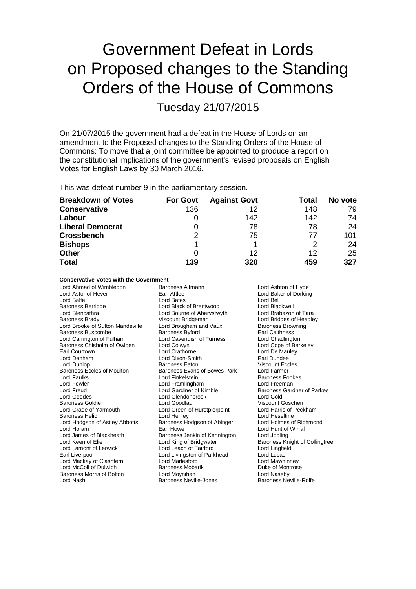# Government Defeat in Lords on Proposed changes to the Standing Orders of the House of Commons

Tuesday 21/07/2015

On 21/07/2015 the government had a defeat in the House of Lords on an amendment to the Proposed changes to the Standing Orders of the House of Commons: To move that a joint committee be appointed to produce a report on the constitutional implications of the government's revised proposals on English Votes for English Laws by 30 March 2016.

This was defeat number 9 in the parliamentary session.

| <b>Breakdown of Votes</b> | <b>For Govt</b> | <b>Against Govt</b> | Total | No vote |
|---------------------------|-----------------|---------------------|-------|---------|
| <b>Conservative</b>       | 136             | 12                  | 148   | 79      |
| Labour                    |                 | 142                 | 142   | 74      |
| <b>Liberal Democrat</b>   | 0               | 78                  | 78    | 24      |
| <b>Crossbench</b>         | 2               | 75                  | 77    | 101     |
| <b>Bishops</b>            |                 |                     | 2     | 24      |
| <b>Other</b>              | O               | 12                  | 12    | 25      |
| <b>Total</b>              | 139             | 320                 | 459   | 327     |

### **Conservative Votes with the Government**

| Lord Ahmad of Wimbledon<br>Lord Astor of Hever<br>Lord Balfe<br><b>Baroness Berridge</b><br>Lord Blencathra<br>Baroness Brady<br>Lord Brooke of Sutton Mandeville<br>Baroness Buscombe<br>Lord Carrington of Fulham<br>Baroness Chisholm of Owlpen<br>Earl Courtown<br>Lord Denham<br>Lord Dunlop<br>Baroness Eccles of Moulton<br>Lord Faulks<br>Lord Fowler<br>Lord Freud<br>Lord Geddes<br>Baroness Goldie<br>Lord Grade of Yarmouth<br><b>Baroness Helic</b><br>Lord Hodgson of Astley Abbotts<br>Lord Horam<br>Lord James of Blackheath<br>Lord Keen of Elie<br>Lord Lamont of Lerwick<br>Earl Liverpool<br>Lord Mackay of Clashfern<br>Lord McColl of Dulwich | Baroness Altmann<br>Earl Attlee<br>Lord Bates<br>Lord Black of Brentwood<br>Lord Bourne of Aberystwyth<br>Viscount Bridgeman<br>Lord Brougham and Vaux<br>Baroness Byford<br>Lord Cavendish of Furness<br>Lord Colwyn<br>Lord Crathorne<br>Lord Dixon-Smith<br>Baroness Eaton<br>Baroness Evans of Bowes Park<br>Lord Finkelstein<br>Lord Framlingham<br>Lord Gardiner of Kimble<br>Lord Glendonbrook<br>Lord Goodlad<br>Lord Green of Hurstpierpoint<br>Lord Henley<br>Baroness Hodgson of Abinger<br>Earl Howe<br>Baroness Jenkin of Kennington<br>Lord King of Bridgwater<br>Lord Leach of Fairford<br>Lord Livingston of Parkhead<br>Lord Marlesford<br><b>Baroness Mobarik</b> | Lord Ashton of Hyde<br>Lord Baker of Dorking<br>Lord Bell<br>Lord Blackwell<br>Lord Brabazon of Tara<br>Lord Bridges of Headley<br><b>Baroness Browning</b><br><b>Earl Caithness</b><br>Lord Chadlington<br>Lord Cope of Berkeley<br>Lord De Mauley<br>Earl Dundee<br><b>Viscount Eccles</b><br>Lord Farmer<br><b>Baroness Fookes</b><br>Lord Freeman<br>Baroness Gardner of Parkes<br>Lord Gold<br>Viscount Goschen<br>Lord Harris of Peckham<br>Lord Heseltine<br>Lord Holmes of Richmond<br>Lord Hunt of Wirral<br>Lord Jopling<br>Baroness Knight of Collingtree<br>Lord Lingfield<br>Lord Lucas<br>Lord Mawhinney<br>Duke of Montrose |
|---------------------------------------------------------------------------------------------------------------------------------------------------------------------------------------------------------------------------------------------------------------------------------------------------------------------------------------------------------------------------------------------------------------------------------------------------------------------------------------------------------------------------------------------------------------------------------------------------------------------------------------------------------------------|-------------------------------------------------------------------------------------------------------------------------------------------------------------------------------------------------------------------------------------------------------------------------------------------------------------------------------------------------------------------------------------------------------------------------------------------------------------------------------------------------------------------------------------------------------------------------------------------------------------------------------------------------------------------------------------|--------------------------------------------------------------------------------------------------------------------------------------------------------------------------------------------------------------------------------------------------------------------------------------------------------------------------------------------------------------------------------------------------------------------------------------------------------------------------------------------------------------------------------------------------------------------------------------------------------------------------------------------|
| Baroness Morris of Bolton                                                                                                                                                                                                                                                                                                                                                                                                                                                                                                                                                                                                                                           | Lord Moynihan                                                                                                                                                                                                                                                                                                                                                                                                                                                                                                                                                                                                                                                                       | Lord Naseby                                                                                                                                                                                                                                                                                                                                                                                                                                                                                                                                                                                                                                |
| Lord Nash                                                                                                                                                                                                                                                                                                                                                                                                                                                                                                                                                                                                                                                           | Baroness Neville-Jones                                                                                                                                                                                                                                                                                                                                                                                                                                                                                                                                                                                                                                                              | Baroness Neville-Rolfe                                                                                                                                                                                                                                                                                                                                                                                                                                                                                                                                                                                                                     |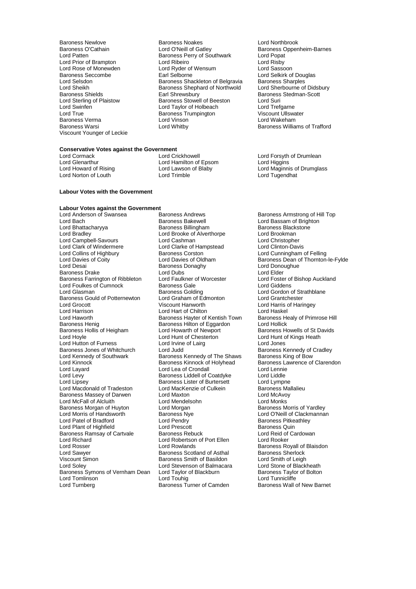Lord Rose of Monewden Lord Ryder of Baroness Seccombe<br>
Baroness Seccombe Carl Selborne Lord True **Communist Communist Communist Communist Communist Communist Communist Communist Communist Communist Communist Communist Communist Communist Communist Communist Communist Communist Communist Communist Communist C** Viscount Younger of Leckie

Baroness Newlove **Baroness Noakes** Lord Northbrook<br>
Baroness O'Cathain **Baroness Lord O'Neill of Gatley** Baroness Oppen Baroness O'Cathain **Lord O'Neill of Gatley** Baroness Oppenheim-Barnes<br>
Lord Patten **Baroness Perry of Southwark** Lord Popat Baroness Perry of Southwark Lord Popat<br>
Lord Ribeiro **Lord Risby** Lord Prior of Brampton **Lord Ribeiro**<br>
Lord Rose of Monewden **Lord Ryder of Wensum** Lord Rossoon Baroness Seccombe **Earl Selborne** Earl Selborne Lord Selkirk of Douglas<br>
Lord Selsdon **Earl Selborness** Shackleton of Belgravia Baroness Sharples Lord Selsdon **Baroness Shackleton of Belgravia** Baroness Sharples<br>
Lord Sheikh **Baroness Shephard of Northwold** Lord Sherbourne of Didsbury Lord Sheikh Baroness Shephard of Northwold<br>Baroness Shields Baroness Shephard of Northwold Baroness Shields **Earl Shrewsbury** Earl Shrewsbury Baroness Stedman-Scott<br>
Lord Sterling of Plaistow **Baroness Stewell of Beeston** Lord Suri Lord Sterling of Plaistow Baroness Stowell of Beeston Lord Suri Lord Swinfen **Lord Lord Taylor of Holbeach** Lord Trefgarne<br>
Lord True Cord True Baroness Trumpington **Lord True** Viscount Ullswater erma and the Lord Vinson Communication of Lord Wakeham<br>Baroness Warsi Communication Lord Whitby Communication Communication Communication Communication Communication

### **Conservative Votes against the Government**

Lord Glenarthur Lord Hamilton of Epsom<br>
Lord Howard of Rising Lord Lawson of Blaby

**Labour Votes with the Government**

Lord Norton of Louth

### **Labour Votes against the Government**

Lord Bhattacharyya **Baroness Billingham** Baroness Black<br>Lord Bradley **Baroness Black**<br>Lord Brookman **Baroness** Lord Brooke of Alverthorpe Lord Brookman Lord Campbell-Savours Lord Cashman Lord Cashman Lord Christopher<br>
Lord Clark of Windermere Lord Clarke of Hampstead Lord Clinton-Davis Lord Clark of Windermere Lord Clarke of Hampstead<br>
Lord Collins of Highbury Baroness Corston Lord Collins of Highbury **Baroness Corston Collection Corporation** Lord Cunningham of Felling<br>
Lord Davies of Coity **Collection Lord Davies of Oldham** Baroness Dean of Thornton Lord Davies of Coity<br>
Lord Desain Coity **Collection Control Control** Davies of Oldham Baroness Dean of Thornton-le-Fylde<br>
Lord Desain Baroness Donaghy Lord Donoughue Baroness Drake **Lord Dubs** Lord Dubs Lord Elder **Lord Elder**<br>
Baroness Farrington of Ribbleton Lord Faulkner of Worcester Lord Foster of Bishop Auckland Baroness Farrington of Ribbleton Lord Faulkner of Worcester **Lord Foster of**<br>Lord Foulkes of Cumnock **Baroness Gale** Auckland Auckland Auckland Lord Foulkes of Cumnock Baroness Gale<br>
Lord Glasman baroness Golding Lord Glasman **Baroness Golding** Education Cord Gordon of Strathblane<br>
Baroness Gould of Potternewton Lord Graham of Edmonton Lord Grantchester Baroness Gould of Potternewton Lord Graham of Edmonton<br>
Lord Grocott Cross Viscount Hanworth Lord Grocott Viscount Hanworth Lord Harris of Haringey Lord Harrison **Lord Hart of Chilton** Lord Haskel Lord Haskel Cord Haskel Lord Haskel Lord Haskel Lord Haskel Lord Haskel Lord Haskel Lord Haskel Lord Haskel Lord Haskel Lord Haskel Lord Haskel Lord Haskel Lord Haskel Lord Lord Haworth **Baroness Hayter of Kentish Town** Baroness Henrich Baroness Healy Charoness Hilton of Eggardon<br>Baroness Henig **Barones Hilton of Eggardon** Lord Hollick Baroness Hollis of Heigham Lord Howarth of Newport Baroness Howells of St David Lord Howarth of Newport Chesterton<br>Lord Hord Howarth of Chesterton Lord Hunt of Kings Heath Lord Hutton of Furness Lord Irvine of Lairg<br>
Baroness Jones of Whitchurch Lord Judd<br>
Lord Judd Baroness Kennedy of Cradley Baroness Jones of Whitchurch Lord Judd Baroness Kennedy of Lord Kennedy of Cord Lord Kennedy of Gow<br>
Lord Kennedy of Southwark Baroness Kennedy of The Shaws Baroness King of Bow Lord Kennedy of Southwark Baroness Kennedy of The Shaws Lord Kinnock<br>
Baroness Kinnock of Holyhead Lord Kinnock **Baroness Kinnock of Holyhead** Baroness Lawrence of Clarendon<br>
Lord Layard **Baroness Lawrence Clarendon**<br>
Lord Leanie Lord Leanie Lord Layard Lord Lea of Crondall Lord Lennie Lord Levy **Baroness Liddell of Coatdyke** Lord Liddle<br>
Lord Lipsey **Baroness Lister of Burtersett** Lord Lympne Lord Macdonald of Tradeston Lord MacKenzie of Culkein Baroness Ma<br>Baroness Massey of Darwen Lord Maxton Lord MacAvoy Baroness Massey of Darwen Lord Maxton Lord McAvon<br>
Lord McFall of Alcluith Lord Mendelsohn Lord McAvon<br>
Lord McFall of Alcluith Lord Mendelsohn Lord Monks Lord McFall of Alcluith Lord Mendelsohn Lord Monks Baroness Morgan of Huyton Lord Morgan<br>
Lord Morris of Handsworth Baroness Nye Lord Patel of Bradford **Container Lord Pendry Container Baroness Pitkeathley**<br>Cord Plant of Highfield **Baroness Quin** Lord Plant of Highfield **Lord Prescott** Lord Prescott **Baroness Quin**<br>
Baroness Ramsay of Cartvale Baroness Rebuck **Baroness Contract Cardowan** Baroness Ramsay of Cartvale Baroness Rebuck Lord Reid of Lord Reid of Lord Richard<br>
Lord Richard Lord Rooker Lord Robertson of Port Ellen Lord Rooker Lord Richard Lord Robertson of Port Ellen Lord Rooker Lord Rosser **Lord Rowlands** Cord Rosser Education Lord Rowlands **Baroness Royall of Blaisdon**<br>
Lord Sawyer **Baroness Scotland of Asthal** Baroness Sherlock Lord Sawyer **Baroness Scotland of Asthal** Baroness Sherlock<br>
Viscount Simon **Baroness Sherlock** Baroness Smith of Basildon Lord Smith of Leigh Viscount Simon **Baroness Smith of Basildon** Lord Smith of Leigh<br>
Lord Soley **Baroness Smith of Balmacara** Lord Stone of Blackheath Baroness Symons of Vernham Dean Lord Taylor of Blackburn Baroness Taylor of Blackburn Baroness Taylor of Blackburn Lord Tunnicliffe Lord Tomlinson **Lord Touhig**<br>
Lord Turnberg **Lord Tunnicliffe**<br>
Baroness Turner of Camden

Lord Anderson of Swansea Baroness Andrews Baroness Armstrong of Hill Top<br>
Baroness Bakewell Baroness Bakewell Lord Bassam of Brighton Lord Bach Baroness Bakewell Lord Bassam of Brighton Lord Brooke of Alverthorpe Lord Brookman<br>
Lord Cashman<br>
Lord Christopher Baroness Donaghy Lord Donoughue<br>
Lord Dubs<br>
Lord Elder Baroness Hilton of Eggardon<br>
Lord Howarth of Newport<br>
Baroness Howells of St Davids Lord Hunt of Chesterton Lord Hunt of Chesterton Lord Hunt of Lairq<br>
Lord Irvine of Lairq **Heath Lord Lord Jones** Lord Lipsey Baroness Lister of Burtersett Lord Lympne Baroness Nye **Lord O'Neill of Clackmannan**<br>
Lord Pendry **Corris Corris Clackmannan**<br>
Baroness Pitkeathley Lord Stevenson of Balmacara Lord Stone of Blackheath<br>
Lord Taylor of Blackburn Baroness Taylor of Bolton

Baroness Williams of Trafford

Lord Cormack Lord Crickhowell Lord Crickhowell<br>
Lord Clenarthur Lord Hamilton of Epsom Lord Higgins<br>
Lord Higgins Lord Lawson of Blaby **Lord Maginnis of Drumglass**<br>
Lord Trimble **Lord Tugendhat** 

Baroness Wall of New Barnet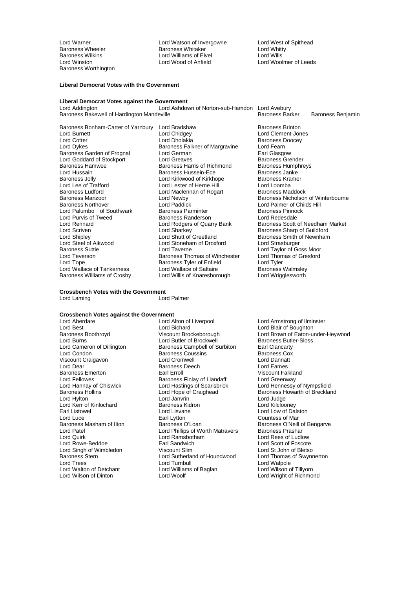Baroness Wilkins **Elvel Lord Williams of Elvel**<br>
Lord Winston **Lord Wood of Anfield** Baroness Worthington

Lord Warner **Lord Watson of Invergowrie** Cord West of Spithead<br>
Baroness Wheeler **Baroness Whitaker** Lord Whitty Baroness Wheeler Baroness Whitaker Lord Whitty

Lord Woolmer of Leeds

#### **Liberal Democrat Votes with the Government**

### **Liberal Democrat Votes against the Government**

Lord Ashdown of Norton-sub-Hamdon Lord Avebury<br>eville Baroness Barker Baroness Bakewell of Hardington Mandeville **Baroness Barchess Barker Baroness Benjamin** 

Baroness Bonham-Carter of Yarnbury Lord Bradshaw Baroness Brinton<br>Lord Burnett Baroness Brinton Lord Chidgey Lord Clement-Jon Baroness Ludford **Lord Maclennan of Rogart** Lord Maclennan of Rogart **Baroness Manzoor** Lord Purvis of Tweed **Baroness Randerson**<br>Lord Rennard **Lord Rodgers of Quarry Bank** Lord Steel of Aikwood Lord Stoneham of Droxford<br>Baroness Suttie Lord Taverne

Lord Burnett Lord Chidgey Lord Clement-Jones Lord Cotter Lord Dholakia Baroness Doocey Baroness Falkner of Margravine Lord Fearn<br>Lord German Corporation Carl Glasgow Baroness Garden of Frognal Lord German Communication Carl Glasgow<br>
Lord Goddard of Stockport Lord Greaves Creater Baroness Grender Lord Goddard of Stockport Lord Greaves Crematic Baroness Grender<br>Baroness Hamwee Baroness Harris of Richmond Baroness Humphreys Baroness Hamwee **Baroness Harris of Richmond** Baroness Humphreys Humphreys Humphreys Humphreys Humphreys Humphrey<br>Lord Hussain **Baroness Hussein-Ece** Baroness Janke Lord Hussain **Example 3 Example 3 Example 3 Example 3 Example 3 Example 3 Example 3 Example 3 Example 3 Example 3 Example 3 Example 3 Example 3 Example 3 Example 3 Example 3 Example 3 Example 3 Example 3 Example 3 Example** Baroness Jolly **Communist Communist Communist Communist Communist Communist Communist Communist Communist Communist Communist Communist Communist Communist Communist Communist Communist Communist Communist Communist Commun** Lord Lee of Trafford Lord Lester of Herne Hill Lord Loomba Lord Paddick<br>Baroness Parminter **Childs Hill**<br>Baroness Parminter **Childs** Baroness Pinnock Lord Palumbo of Southwark Baroness Parminter Baroness Pinnock Baroness Pinnock Baroness Pinnock Baroness Pinnoc Lord Scriven **Lord Scriven Lord Scriven Lord Sharkey**<br>
Lord Shutt of Greetland Baroness Smith of Newnham Lord Shipley Lord Shutt of Greetland Baroness Smith of Newnham<br>Lord Steel of Aikwood Lord Stoneham of Droxford Lord Strasburger Baroness Suttie Lord Taverne Lord Taylor of Goss Moor Lord Teverson **Baroness Thomas of Winchester Lord Thom**<br>
Lord Tope **Baroness Tyler of Enfield** Lord Tyler Baroness Tyler of Enfield<br>
Lord Wallace of Saltaire<br>
Baroness Walmsley Lord Wallace of Tankerness Lord Wallace of Saltaire Saroness Walmsley<br>Baroness Williams of Crosby Lord Willis of Knaresborough Lord Wrigglesworth Lord Willis of Knaresborough

Baroness Manzoor **Lord Newby** Corporation Christ Corporation Baroness Nicholson of Winterbourne<br>Baroness Northover **Corporation Corporation** Lord Palmer of Childs Hill Lord Rennard **Lord Rodgers of Quarry Bank** Baroness Scott of Needham Market Lord Scott of Needham Market Lord Sharbet Cord Sharkev

### **Crossbench Votes with the Government**

Lord Laming

#### **Crossbench Votes against the Government**

Lord Fellowes **Baroness Finlay of Llandaff**<br>
Lord Hannay of Chiswick **Baroness Finlay Constants**<br>
Lord Hastings of Scarisbrick Lord Kerr of Kinlochard Baroness Kidron Baroness Kidron Lord Lisvane Lord Walton of Detchant Lord William<br>
Lord Wilson of Dinton Lord Woolf

Lord Aberdare Lord Alton of Liverpool Lord Armstrong of Ilminster Lord Best Lord Bichard Lord Blair of Boughton Lord Burns Term and Ruiller of Brockwell Baroness Butler-Sloven Baroness Butler-Sloven Baroness Butler-Sloven Baroness Campbell of Surbiton Farl Clancarty Lord Cameron of Dillington **Baroness Campbell of Surbiton** Earl Clancarty<br>
Lord Condon **Baroness Coussins** Baroness Coussins **Baroness Cox Baroness Coussins Communist Condom Baroness Cox**<br>
Lord Cromwell<br>
Lord Dannatt Viscount Craigavon Lord Cromwell Lord Dannatt **Baroness Deech Lord Eames**<br> **Earl Erroll**<br>
Ciscount Falkland Baroness Emerton **Earl Example Terroll** Earl Erroll Charoness Finlay of Llandaff Cord Greenway<br>
Baroness Finlay of Llandaff **Example 20** Lord Greenway Lord Hannay of Chiswick Lord Hastings of Scarisbrick Lord Hennessy of Nympsfield Lord Hylton Lord Janvrin Lord Judge Earl Listowel Lord Lisvane Lord Low of Dalston Lord Luce Countess of Mar Countess of Mar Countess of Mar Countess of Mar Countess of Mar Countess of Mar Countess of Mar Countess of Mar Countess of Mar Countess of Mar Countess of Mar Countess of Mar Countess of Mar Coun Baroness Masham of Ilton **Baroness O'Loan** Baroness O'Loan Baroness O'Neill of Bengarve<br>
Lord Phillips of Worth Matravers Baroness Prashar Lord Patel **Lord Phillips of Worth Matravers**<br>
Lord Quirk **Cord Ramsbotham** Lord Quirk Lord Ramsbotham Lord Rees of Ludlow Earl Sandwich<br>
Viscount Slim

Unit Cord St John of Bletso<br>
Lord St John of Bletso Lord Singh of Wimbledon Viscount Slim Cord Stuben Lord St John of Bletso<br>
Baroness Stern Cord Sutherland of Houndwood Lord Thomas of Swynnerton Baroness Stern Lord Sutherland of Houndwood<br>Lord Trees Lord Turnbull Lord Turnbull<br>
Lord Williams of Baglan<br>
Lord Wilson of Tillyorn

Baroness Boothroyd Viscount Brookeborough Lord Brown of Eaton-under-Heywood Baroness Howarth of Breckland Lord Wright of Richmond